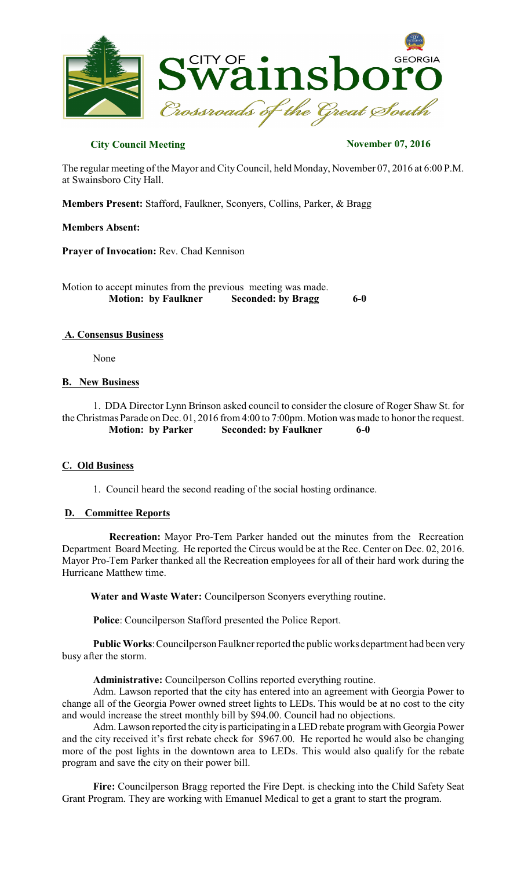

# **City Council Meeting November 07, 2016**

The regular meeting of the Mayor and CityCouncil, held Monday, November 07, 2016 at 6:00 P.M. at Swainsboro City Hall.

**Members Present:** Stafford, Faulkner, Sconyers, Collins, Parker, & Bragg

## **Members Absent:**

**Prayer of Invocation:** Rev. Chad Kennison

Motion to accept minutes from the previous meeting was made.  **Motion: by Faulkner Seconded: by Bragg 6-0** 

## **A. Consensus Business**

None

## **B. New Business**

1. DDA Director Lynn Brinson asked council to consider the closure of Roger Shaw St. for the Christmas Parade on Dec. 01, 2016 from 4:00 to 7:00pm. Motion was made to honor the request.  **Motion: by Parker Seconded: by Faulkner 6-0** 

## **C. Old Business**

1. Council heard the second reading of the social hosting ordinance.

## **D. Committee Reports**

**Recreation:** Mayor Pro-Tem Parker handed out the minutes from the Recreation Department Board Meeting. He reported the Circus would be at the Rec. Center on Dec. 02, 2016. Mayor Pro-Tem Parker thanked all the Recreation employees for all of their hard work during the Hurricane Matthew time.

**Water and Waste Water:** Councilperson Sconyers everything routine.

**Police**: Councilperson Stafford presented the Police Report.

**Public Works**:Councilperson Faulkner reported the public works department had been very busy after the storm.

 **Administrative:** Councilperson Collins reported everything routine.

Adm. Lawson reported that the city has entered into an agreement with Georgia Power to change all of the Georgia Power owned street lights to LEDs. This would be at no cost to the city and would increase the street monthly bill by \$94.00. Council had no objections.

Adm. Lawson reported the city is participating in a LED rebate program with Georgia Power and the city received it's first rebate check for \$967.00. He reported he would also be changing more of the post lights in the downtown area to LEDs. This would also qualify for the rebate program and save the city on their power bill.

**Fire:** Councilperson Bragg reported the Fire Dept. is checking into the Child Safety Seat Grant Program. They are working with Emanuel Medical to get a grant to start the program.